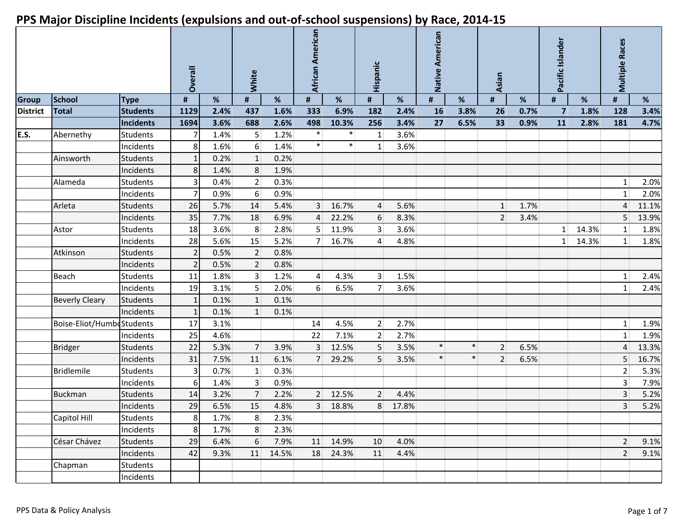|                 |                           |                 | Overall        |      | White<br>#<br>$\%$ |       | African American |        | Hispanic        |       | American<br><b>Native</b> |        | Asian          |      | Pacific Islander |       | <b>Multiple Races</b> |       |
|-----------------|---------------------------|-----------------|----------------|------|--------------------|-------|------------------|--------|-----------------|-------|---------------------------|--------|----------------|------|------------------|-------|-----------------------|-------|
| <b>Group</b>    | <b>School</b>             | <b>Type</b>     | $\pmb{\#}$     | %    |                    |       | #                | %      | #               | %     | #                         | %      | $\pmb{\sharp}$ | %    | $\pmb{\sharp}$   | %     | #                     | %     |
| <b>District</b> | <b>Total</b>              | <b>Students</b> | 1129           | 2.4% | 437                | 1.6%  | 333              | 6.9%   | 182             | 2.4%  | 16                        | 3.8%   | 26             | 0.7% | $\overline{7}$   | 1.8%  | 128                   | 3.4%  |
|                 |                           | Incidents       | 1694           | 3.6% | 688                | 2.6%  | 498              | 10.3%  | 256             | 3.4%  | 27                        | 6.5%   | 33             | 0.9% | 11               | 2.8%  | 181                   | 4.7%  |
| E.S.            | Abernethy                 | <b>Students</b> |                | 1.4% | 5 <sup>1</sup>     | 1.2%  | $\ast$           | $\ast$ | $1\vert$        | 3.6%  |                           |        |                |      |                  |       |                       |       |
|                 |                           | Incidents       | 8              | 1.6% | $6 \overline{6}$   | 1.4%  | $\ast$           | $\ast$ | 1               | 3.6%  |                           |        |                |      |                  |       |                       |       |
|                 | Ainsworth                 | <b>Students</b> |                | 0.2% | 1                  | 0.2%  |                  |        |                 |       |                           |        |                |      |                  |       |                       |       |
|                 |                           | Incidents       | 8              | 1.4% | 8                  | 1.9%  |                  |        |                 |       |                           |        |                |      |                  |       |                       |       |
|                 | Alameda                   | Students        |                | 0.4% | 2                  | 0.3%  |                  |        |                 |       |                           |        |                |      |                  |       | 1                     | 2.0%  |
|                 |                           | Incidents       |                | 0.9% | $6 \overline{6}$   | 0.9%  |                  |        |                 |       |                           |        |                |      |                  |       | 1                     | 2.0%  |
|                 | Arleta                    | <b>Students</b> | 26             | 5.7% | 14                 | 5.4%  | 3 <sup>1</sup>   | 16.7%  | $\overline{4}$  | 5.6%  |                           |        | $\mathbf{1}$   | 1.7% |                  |       | $\sqrt{4}$            | 11.1% |
|                 |                           | Incidents       | 35             | 7.7% | 18                 | 6.9%  | $\overline{4}$   | 22.2%  | 6               | 8.3%  |                           |        | 2              | 3.4% |                  |       | 5                     | 13.9% |
|                 | Astor                     | <b>Students</b> | 18             | 3.6% | 8 <sup>1</sup>     | 2.8%  | 5 <sup>1</sup>   | 11.9%  | $\overline{3}$  | 3.6%  |                           |        |                |      | $1\vert$         | 14.3% | $\mathbf{1}$          | 1.8%  |
|                 |                           | Incidents       | 28             | 5.6% | 15                 | 5.2%  | 7 <sup>1</sup>   | 16.7%  | $\vert 4 \vert$ | 4.8%  |                           |        |                |      | $1\vert$         | 14.3% | 1                     | 1.8%  |
|                 | Atkinson                  | <b>Students</b> | $\overline{2}$ | 0.5% | $\overline{2}$     | 0.8%  |                  |        |                 |       |                           |        |                |      |                  |       |                       |       |
|                 |                           | Incidents       |                | 0.5% | $\overline{2}$     | 0.8%  |                  |        |                 |       |                           |        |                |      |                  |       |                       |       |
|                 | Beach                     | <b>Students</b> | 11             | 1.8% | 3 <sup>1</sup>     | 1.2%  | $\overline{4}$   | 4.3%   | 3 <sup>1</sup>  | 1.5%  |                           |        |                |      |                  |       | $\mathbf{1}$          | 2.4%  |
|                 |                           | Incidents       | 19             | 3.1% | 5 <sup>1</sup>     | 2.0%  | 6 <sup>1</sup>   | 6.5%   | 7 <sup>1</sup>  | 3.6%  |                           |        |                |      |                  |       | $\mathbf{1}$          | 2.4%  |
|                 | <b>Beverly Cleary</b>     | <b>Students</b> | 1              | 0.1% | 1                  | 0.1%  |                  |        |                 |       |                           |        |                |      |                  |       |                       |       |
|                 |                           | Incidents       | 1              | 0.1% | $\mathbf{1}$       | 0.1%  |                  |        |                 |       |                           |        |                |      |                  |       |                       |       |
|                 | Boise-Eliot/HumbeStudents |                 | 17             | 3.1% |                    |       | 14               | 4.5%   | 2 <sup>2</sup>  | 2.7%  |                           |        |                |      |                  |       | 1                     | 1.9%  |
|                 |                           | Incidents       | 25             | 4.6% |                    |       | 22               | 7.1%   | 2 <sup>1</sup>  | 2.7%  |                           |        |                |      |                  |       | $1\,$                 | 1.9%  |
|                 | <b>Bridger</b>            | <b>Students</b> | 22             | 5.3% | 7 <sup>1</sup>     | 3.9%  | 3 <sup>1</sup>   | 12.5%  | 5               | 3.5%  | $\ast$                    | $\ast$ | $\overline{2}$ | 6.5% |                  |       | 4                     | 13.3% |
|                 |                           | Incidents       | 31             | 7.5% | 11                 | 6.1%  | 7 <sup>1</sup>   | 29.2%  | 5 <sup>1</sup>  | 3.5%  | $\ast$                    | $\ast$ | 2 <sup>1</sup> | 6.5% |                  |       | 5                     | 16.7% |
|                 | <b>Bridlemile</b>         | <b>Students</b> | 3              | 0.7% | $\mathbf{1}$       | 0.3%  |                  |        |                 |       |                           |        |                |      |                  |       | $\overline{2}$        | 5.3%  |
|                 |                           | Incidents       | 6              | 1.4% | 3 <sup>1</sup>     | 0.9%  |                  |        |                 |       |                           |        |                |      |                  |       | 3                     | 7.9%  |
|                 | <b>Buckman</b>            | <b>Students</b> | 14             | 3.2% | $\overline{7}$     | 2.2%  | 2                | 12.5%  | 2 <sup>1</sup>  | 4.4%  |                           |        |                |      |                  |       | $\overline{3}$        | 5.2%  |
|                 |                           | Incidents       | 29             | 6.5% | 15                 | 4.8%  | 3 <sup>1</sup>   | 18.8%  | 8 <sup>1</sup>  | 17.8% |                           |        |                |      |                  |       | $\overline{3}$        | 5.2%  |
|                 | Capitol Hill              | <b>Students</b> | 8              | 1.7% | 8 <sup>°</sup>     | 2.3%  |                  |        |                 |       |                           |        |                |      |                  |       |                       |       |
|                 |                           | Incidents       | 8              | 1.7% | 8 <sup>1</sup>     | 2.3%  |                  |        |                 |       |                           |        |                |      |                  |       |                       |       |
|                 | César Chávez              | Students        | 29             | 6.4% | 6                  | 7.9%  | 11               | 14.9%  | 10              | 4.0%  |                           |        |                |      |                  |       | $\overline{2}$        | 9.1%  |
|                 |                           | Incidents       | 42             | 9.3% | 11                 | 14.5% | 18               | 24.3%  | 11              | 4.4%  |                           |        |                |      |                  |       | $\overline{2}$        | 9.1%  |
|                 | Chapman                   | <b>Students</b> |                |      |                    |       |                  |        |                 |       |                           |        |                |      |                  |       |                       |       |
|                 |                           | Incidents       |                |      |                    |       |                  |        |                 |       |                           |        |                |      |                  |       |                       |       |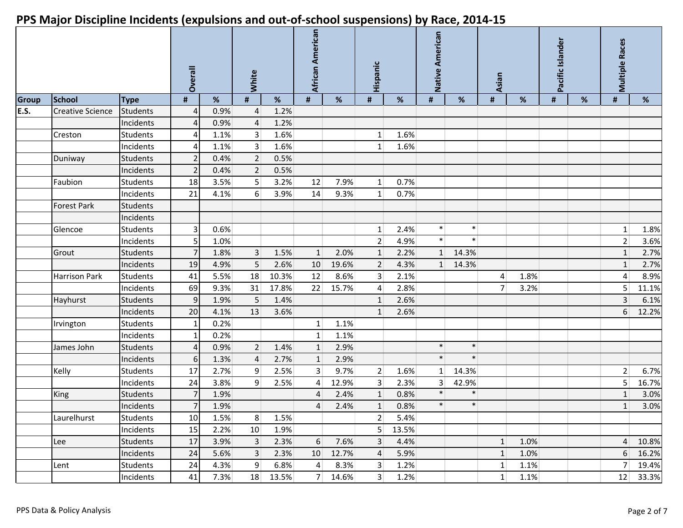|              |                         |                 | Overall |      | White          |       | African American |       | Hispanic        |       | American<br><b>Native</b> |        | Asian          |      | Pacific Islander |   | <b>Multiple Races</b> |       |
|--------------|-------------------------|-----------------|---------|------|----------------|-------|------------------|-------|-----------------|-------|---------------------------|--------|----------------|------|------------------|---|-----------------------|-------|
| <b>Group</b> | <b>School</b>           | <b>Type</b>     | #       | %    | #              | %     | #                | %     | #               | $\%$  | #                         | $\%$   | #              | %    | $\#$             | % | #                     | %     |
| E.S.         | <b>Creative Science</b> | Students        | 4       | 0.9% | $\overline{4}$ | 1.2%  |                  |       |                 |       |                           |        |                |      |                  |   |                       |       |
|              |                         | Incidents       | 4       | 0.9% | $\overline{4}$ | 1.2%  |                  |       |                 |       |                           |        |                |      |                  |   |                       |       |
|              | Creston                 | <b>Students</b> | Δ       | 1.1% | 3 <sup>2</sup> | 1.6%  |                  |       | $1\vert$        | 1.6%  |                           |        |                |      |                  |   |                       |       |
|              |                         | Incidents       | Δ       | 1.1% | 3 <sup>2</sup> | 1.6%  |                  |       | 1 <sup>1</sup>  | 1.6%  |                           |        |                |      |                  |   |                       |       |
|              | Duniway                 | <b>Students</b> |         | 0.4% | 2              | 0.5%  |                  |       |                 |       |                           |        |                |      |                  |   |                       |       |
|              |                         | Incidents       | 2       | 0.4% | 2 <sup>2</sup> | 0.5%  |                  |       |                 |       |                           |        |                |      |                  |   |                       |       |
|              | Faubion                 | <b>Students</b> | 18      | 3.5% | 5 <sup>2</sup> | 3.2%  | 12               | 7.9%  | 1               | 0.7%  |                           |        |                |      |                  |   |                       |       |
|              |                         | Incidents       | 21      | 4.1% | 6 <sup>1</sup> | 3.9%  | 14               | 9.3%  | 1               | 0.7%  |                           |        |                |      |                  |   |                       |       |
|              | <b>Forest Park</b>      | <b>Students</b> |         |      |                |       |                  |       |                 |       |                           |        |                |      |                  |   |                       |       |
|              |                         | Incidents       |         |      |                |       |                  |       |                 |       |                           |        |                |      |                  |   |                       |       |
|              | Glencoe                 | <b>Students</b> | 3       | 0.6% |                |       |                  |       | $1\vert$        | 2.4%  | $\ast$                    | $\ast$ |                |      |                  |   | $\mathbf{1}$          | 1.8%  |
|              |                         | Incidents       | 5       | 1.0% |                |       |                  |       | 2 <sup>1</sup>  | 4.9%  | $\ast$                    | $\ast$ |                |      |                  |   | $\overline{2}$        | 3.6%  |
|              | Grout                   | <b>Students</b> |         | 1.8% | 3 <sup>1</sup> | 1.5%  | $\mathbf{1}$     | 2.0%  | $1\overline{ }$ | 2.2%  | $1\vert$                  | 14.3%  |                |      |                  |   | $\mathbf{1}$          | 2.7%  |
|              |                         | Incidents       | 19      | 4.9% | 5 <sup>1</sup> | 2.6%  | 10               | 19.6% | $2 \nvert$      | 4.3%  | $1\vert$                  | 14.3%  |                |      |                  |   | $1\,$                 | 2.7%  |
|              | <b>Harrison Park</b>    | <b>Students</b> | 41      | 5.5% | 18             | 10.3% | 12               | 8.6%  | 3 <sup>1</sup>  | 2.1%  |                           |        | $\overline{4}$ | 1.8% |                  |   | $\vert 4 \vert$       | 8.9%  |
|              |                         | Incidents       | 69      | 9.3% | 31             | 17.8% | 22               | 15.7% | $\overline{4}$  | 2.8%  |                           |        | 7 <sup>1</sup> | 3.2% |                  |   | 5                     | 11.1% |
|              | Hayhurst                | <b>Students</b> | 9       | 1.9% | 5 <sup>1</sup> | 1.4%  |                  |       | 1               | 2.6%  |                           |        |                |      |                  |   | $\overline{3}$        | 6.1%  |
|              |                         | Incidents       | 20      | 4.1% | 13             | 3.6%  |                  |       | $1\overline{ }$ | 2.6%  |                           |        |                |      |                  |   | 6                     | 12.2% |
|              | Irvington               | <b>Students</b> | -1      | 0.2% |                |       | $1\vert$         | 1.1%  |                 |       |                           |        |                |      |                  |   |                       |       |
|              |                         | Incidents       | 1       | 0.2% |                |       | $1\vert$         | 1.1%  |                 |       |                           |        |                |      |                  |   |                       |       |
|              | James John              | <b>Students</b> | 4       | 0.9% | 2 <sup>2</sup> | 1.4%  | 1                | 2.9%  |                 |       | $\ast$                    | $\ast$ |                |      |                  |   |                       |       |
|              |                         | Incidents       | 6       | 1.3% | $\overline{4}$ | 2.7%  | 1                | 2.9%  |                 |       | $\ast$                    | $\ast$ |                |      |                  |   |                       |       |
|              | Kelly                   | <b>Students</b> | 17      | 2.7% | 9 <sup>1</sup> | 2.5%  | 3 <sup>2</sup>   | 9.7%  | $2 \vert$       | 1.6%  | $1\vert$                  | 14.3%  |                |      |                  |   | $\overline{2}$        | 6.7%  |
|              |                         | Incidents       | 24      | 3.8% | 9 <sup>1</sup> | 2.5%  | $\vert 4 \vert$  | 12.9% | $\overline{3}$  | 2.3%  | 3 <sup>1</sup>            | 42.9%  |                |      |                  |   | 5 <sup>1</sup>        | 16.7% |
|              | King                    | <b>Students</b> |         | 1.9% |                |       | 4                | 2.4%  | $1\overline{ }$ | 0.8%  | $\ast$                    | $\ast$ |                |      |                  |   | $\mathbf{1}$          | 3.0%  |
|              |                         | Incidents       |         | 1.9% |                |       | 4                | 2.4%  | 1               | 0.8%  | $\ast$                    | $\ast$ |                |      |                  |   | $\mathbf{1}$          | 3.0%  |
|              | Laurelhurst             | <b>Students</b> | 10      | 1.5% | 8 <sup>2</sup> | 1.5%  |                  |       | 2 <sup>1</sup>  | 5.4%  |                           |        |                |      |                  |   |                       |       |
|              |                         | Incidents       | 15      | 2.2% | 10             | 1.9%  |                  |       | 5 <sup>1</sup>  | 13.5% |                           |        |                |      |                  |   |                       |       |
|              | Lee                     | <b>Students</b> | 17      | 3.9% | 3 <sup>2</sup> | 2.3%  | 6                | 7.6%  | $\overline{3}$  | 4.4%  |                           |        | $\mathbf{1}$   | 1.0% |                  |   | $\overline{4}$        | 10.8% |
|              |                         | Incidents       | 24      | 5.6% | 3 <sup>1</sup> | 2.3%  | 10               | 12.7% | $\overline{4}$  | 5.9%  |                           |        | 1              | 1.0% |                  |   | $6 \overline{6}$      | 16.2% |
|              | Lent                    | <b>Students</b> | 24      | 4.3% | 9 <sup>1</sup> | 6.8%  | $\vert$          | 8.3%  | 3 <sup>1</sup>  | 1.2%  |                           |        | $1\vert$       | 1.1% |                  |   | 7                     | 19.4% |
|              |                         | Incidents       | 41      | 7.3% | 18             | 13.5% | 7                | 14.6% | 3 <sup>1</sup>  | 1.2%  |                           |        | 1              | 1.1% |                  |   | 12                    | 33.3% |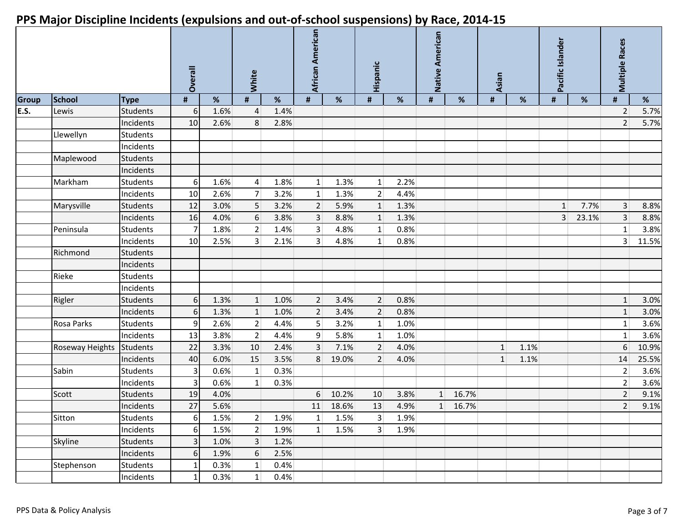|              |                 |                 | Overall         |      | White            |      | African American |       | Hispanic        |      | Native American |       | Asian          |      | Pacific Islander |       | <b>Multiple Races</b> |       |
|--------------|-----------------|-----------------|-----------------|------|------------------|------|------------------|-------|-----------------|------|-----------------|-------|----------------|------|------------------|-------|-----------------------|-------|
| <b>Group</b> | <b>School</b>   | <b>Type</b>     | $\pmb{\sharp}$  | $\%$ | #                | %    | #                | %     | #               | $\%$ | $\pmb{\sharp}$  | %     | $\pmb{\sharp}$ | $\%$ | #                | %     | #                     | %     |
| E.S.         | Lewis           | <b>Students</b> | 6 <sup>1</sup>  | 1.6% | $\overline{4}$   | 1.4% |                  |       |                 |      |                 |       |                |      |                  |       | $\overline{2}$        | 5.7%  |
|              |                 | Incidents       | 10 <sup>1</sup> | 2.6% | 8 <sup>1</sup>   | 2.8% |                  |       |                 |      |                 |       |                |      |                  |       | $\overline{2}$        | 5.7%  |
|              | Llewellyn       | Students        |                 |      |                  |      |                  |       |                 |      |                 |       |                |      |                  |       |                       |       |
|              |                 | Incidents       |                 |      |                  |      |                  |       |                 |      |                 |       |                |      |                  |       |                       |       |
|              | Maplewood       | <b>Students</b> |                 |      |                  |      |                  |       |                 |      |                 |       |                |      |                  |       |                       |       |
|              |                 | Incidents       |                 |      |                  |      |                  |       |                 |      |                 |       |                |      |                  |       |                       |       |
|              | Markham         | Students        | $6 \mid$        | 1.6% | $\vert 4 \vert$  | 1.8% | $1\vert$         | 1.3%  | $1\vert$        | 2.2% |                 |       |                |      |                  |       |                       |       |
|              |                 | Incidents       | 10              | 2.6% | 7 <sup>1</sup>   | 3.2% | $1\vert$         | 1.3%  | 2               | 4.4% |                 |       |                |      |                  |       |                       |       |
|              | Marysville      | <b>Students</b> | 12              | 3.0% | 5 <sup>1</sup>   | 3.2% | $\overline{2}$   | 5.9%  | $1\overline{ }$ | 1.3% |                 |       |                |      | $\mathbf{1}$     | 7.7%  | 3                     | 8.8%  |
|              |                 | Incidents       | 16              | 4.0% | $6 \mid$         | 3.8% | $\overline{3}$   | 8.8%  | $1\overline{ }$ | 1.3% |                 |       |                |      | $\overline{3}$   | 23.1% | 3                     | 8.8%  |
|              | Peninsula       | Students        |                 | 1.8% | 2                | 1.4% | 3 <sup>2</sup>   | 4.8%  | 1               | 0.8% |                 |       |                |      |                  |       | $\mathbf{1}$          | 3.8%  |
|              |                 | Incidents       | 10              | 2.5% | $\overline{3}$   | 2.1% | 3 <sup>1</sup>   | 4.8%  | 1               | 0.8% |                 |       |                |      |                  |       | 3 <sup>1</sup>        | 11.5% |
|              | Richmond        | Students        |                 |      |                  |      |                  |       |                 |      |                 |       |                |      |                  |       |                       |       |
|              |                 | Incidents       |                 |      |                  |      |                  |       |                 |      |                 |       |                |      |                  |       |                       |       |
|              | Rieke           | Students        |                 |      |                  |      |                  |       |                 |      |                 |       |                |      |                  |       |                       |       |
|              |                 | Incidents       |                 |      |                  |      |                  |       |                 |      |                 |       |                |      |                  |       |                       |       |
|              | Rigler          | Students        | $6 \mid$        | 1.3% | 1                | 1.0% | 2 <sup>1</sup>   | 3.4%  | 2 <sup>1</sup>  | 0.8% |                 |       |                |      |                  |       | $\mathbf{1}$          | 3.0%  |
|              |                 | Incidents       | 6I              | 1.3% | $\mathbf{1}$     | 1.0% | $2 \overline{ }$ | 3.4%  | $2 \nvert$      | 0.8% |                 |       |                |      |                  |       | $\mathbf{1}$          | 3.0%  |
|              | Rosa Parks      | Students        | 9 <sub>l</sub>  | 2.6% | $\overline{2}$   | 4.4% | 5 <sup>1</sup>   | 3.2%  | 1               | 1.0% |                 |       |                |      |                  |       | $\mathbf{1}$          | 3.6%  |
|              |                 | Incidents       | 13              | 3.8% | 2                | 4.4% | 9                | 5.8%  | $1\vert$        | 1.0% |                 |       |                |      |                  |       | $\mathbf{1}$          | 3.6%  |
|              | Roseway Heights | Students        | 22              | 3.3% | 10               | 2.4% | $\overline{3}$   | 7.1%  | 2 <sup>1</sup>  | 4.0% |                 |       | $\mathbf{1}$   | 1.1% |                  |       | 6                     | 10.9% |
|              |                 | Incidents       | 40              | 6.0% | 15               | 3.5% | 8 <sup>1</sup>   | 19.0% | 2 <sup>1</sup>  | 4.0% |                 |       | $\mathbf{1}$   | 1.1% |                  |       | 14                    | 25.5% |
|              | Sabin           | <b>Students</b> | 3               | 0.6% | $1\overline{ }$  | 0.3% |                  |       |                 |      |                 |       |                |      |                  |       | $\overline{2}$        | 3.6%  |
|              |                 | Incidents       | 3               | 0.6% | $1\vert$         | 0.3% |                  |       |                 |      |                 |       |                |      |                  |       | $\overline{2}$        | 3.6%  |
|              | Scott           | <b>Students</b> | 19              | 4.0% |                  |      | 6                | 10.2% | 10              | 3.8% | $1\overline{ }$ | 16.7% |                |      |                  |       | $\overline{2}$        | 9.1%  |
|              |                 | Incidents       | 27              | 5.6% |                  |      | 11               | 18.6% | 13              | 4.9% | 1               | 16.7% |                |      |                  |       | $\overline{2}$        | 9.1%  |
|              | Sitton          | <b>Students</b> | $6 \mid$        | 1.5% | 2                | 1.9% | $1\vert$         | 1.5%  | 3 <sup>1</sup>  | 1.9% |                 |       |                |      |                  |       |                       |       |
|              |                 | Incidents       | 6 <sup>1</sup>  | 1.5% | 2                | 1.9% | 1                | 1.5%  | 3 <sup>1</sup>  | 1.9% |                 |       |                |      |                  |       |                       |       |
|              | Skyline         | <b>Students</b> | $\overline{3}$  | 1.0% | 3 <sup>1</sup>   | 1.2% |                  |       |                 |      |                 |       |                |      |                  |       |                       |       |
|              |                 | Incidents       | $6 \mid$        | 1.9% | $6 \overline{6}$ | 2.5% |                  |       |                 |      |                 |       |                |      |                  |       |                       |       |
|              | Stephenson      | <b>Students</b> | $\mathbf{1}$    | 0.3% | $1\vert$         | 0.4% |                  |       |                 |      |                 |       |                |      |                  |       |                       |       |
|              |                 | Incidents       |                 | 0.3% | $1\vert$         | 0.4% |                  |       |                 |      |                 |       |                |      |                  |       |                       |       |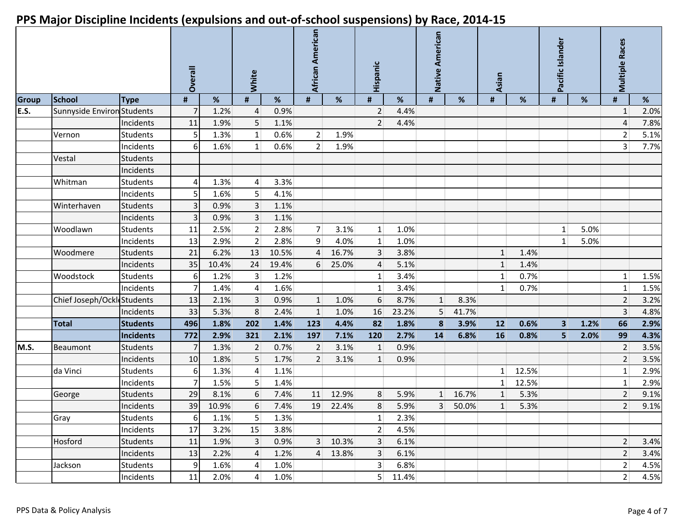|              |                                   |                 | Overall    |       | White            |       | African American |       | Hispanic         |       | American<br>Native |       | Asian          |       | Pacific Islander |      | <b>Multiple Races</b> |      |
|--------------|-----------------------------------|-----------------|------------|-------|------------------|-------|------------------|-------|------------------|-------|--------------------|-------|----------------|-------|------------------|------|-----------------------|------|
| <b>Group</b> | <b>School</b>                     | <b>Type</b>     | $\pmb{\#}$ | %     | #                | %     | #                | %     | #                | %     | #                  | %     | $\pmb{\#}$     | %     | #                | %    | #                     | %    |
| E.S.         | <b>Sunnyside Environ Students</b> |                 |            | 1.2%  | 4                | 0.9%  |                  |       | $\overline{2}$   | 4.4%  |                    |       |                |       |                  |      | $\mathbf{1}$          | 2.0% |
|              |                                   | Incidents       | 11         | 1.9%  | 5                | 1.1%  |                  |       | $\overline{2}$   | 4.4%  |                    |       |                |       |                  |      | 4                     | 7.8% |
|              | Vernon                            | <b>Students</b> | 5          | 1.3%  | 1                | 0.6%  | 2                | 1.9%  |                  |       |                    |       |                |       |                  |      | $\overline{2}$        | 5.1% |
|              |                                   | Incidents       | 6          | 1.6%  | $1\vert$         | 0.6%  | 2 <sup>1</sup>   | 1.9%  |                  |       |                    |       |                |       |                  |      | $\overline{3}$        | 7.7% |
|              | Vestal                            | <b>Students</b> |            |       |                  |       |                  |       |                  |       |                    |       |                |       |                  |      |                       |      |
|              |                                   | Incidents       |            |       |                  |       |                  |       |                  |       |                    |       |                |       |                  |      |                       |      |
|              | Whitman                           | <b>Students</b> |            | 1.3%  | $\overline{4}$   | 3.3%  |                  |       |                  |       |                    |       |                |       |                  |      |                       |      |
|              |                                   | Incidents       | 5          | 1.6%  | 5                | 4.1%  |                  |       |                  |       |                    |       |                |       |                  |      |                       |      |
|              | Winterhaven                       | <b>Students</b> | 3          | 0.9%  | $\overline{3}$   | 1.1%  |                  |       |                  |       |                    |       |                |       |                  |      |                       |      |
|              |                                   | Incidents       |            | 0.9%  | 3 <sup>1</sup>   | 1.1%  |                  |       |                  |       |                    |       |                |       |                  |      |                       |      |
|              | Woodlawn                          | <b>Students</b> | 11         | 2.5%  | 2                | 2.8%  | 7 <sup>1</sup>   | 3.1%  | $1\vert$         | 1.0%  |                    |       |                |       | $1\vert$         | 5.0% |                       |      |
|              |                                   | Incidents       | 13         | 2.9%  | 2 <sup>1</sup>   | 2.8%  | 9 <sup>1</sup>   | 4.0%  | 1                | 1.0%  |                    |       |                |       | $\mathbf{1}$     | 5.0% |                       |      |
|              | Woodmere                          | <b>Students</b> | 21         | 6.2%  | 13               | 10.5% | $\overline{4}$   | 16.7% | 3 <sup>1</sup>   | 3.8%  |                    |       | $1\vert$       | 1.4%  |                  |      |                       |      |
|              |                                   | Incidents       | 35         | 10.4% | 24               | 19.4% | 6 <sup>1</sup>   | 25.0% | 4                | 5.1%  |                    |       | $\mathbf{1}$   | 1.4%  |                  |      |                       |      |
|              | Woodstock                         | <b>Students</b> | 6          | 1.2%  | 3 <sup>1</sup>   | 1.2%  |                  |       | $1\vert$         | 3.4%  |                    |       | $1\vert$       | 0.7%  |                  |      | 1                     | 1.5% |
|              |                                   | Incidents       |            | 1.4%  | $\overline{4}$   | 1.6%  |                  |       | 1                | 3.4%  |                    |       | 1 <sup>1</sup> | 0.7%  |                  |      | $1\,$                 | 1.5% |
|              | Chief Joseph/OckleStudents        |                 | 13         | 2.1%  | 3 <sup>1</sup>   | 0.9%  | 1                | 1.0%  | $6 \overline{6}$ | 8.7%  | $\mathbf{1}$       | 8.3%  |                |       |                  |      | $\overline{2}$        | 3.2% |
|              |                                   | Incidents       | 33         | 5.3%  | 8                | 2.4%  | $1\vert$         | 1.0%  | 16               | 23.2% | 5 <sup>1</sup>     | 41.7% |                |       |                  |      | $\overline{3}$        | 4.8% |
|              | <b>Total</b>                      | <b>Students</b> | 496        | 1.8%  | 202              | 1.4%  | 123              | 4.4%  | 82               | 1.8%  | 8                  | 3.9%  | 12             | 0.6%  | 3                | 1.2% | 66                    | 2.9% |
|              |                                   | Incidents       | 772        | 2.9%  | 321              | 2.1%  | 197              | 7.1%  | 120              | 2.7%  | 14                 | 6.8%  | <b>16</b>      | 0.8%  | 5                | 2.0% | 99                    | 4.3% |
| M.S.         | Beaumont                          | <b>Students</b> |            | 1.3%  | $\overline{2}$   | 0.7%  | $\overline{2}$   | 3.1%  | $\mathbf{1}$     | 0.9%  |                    |       |                |       |                  |      | $\overline{2}$        | 3.5% |
|              |                                   | Incidents       | 10         | 1.8%  | 5 <sup>1</sup>   | 1.7%  | $\overline{2}$   | 3.1%  | 1                | 0.9%  |                    |       |                |       |                  |      | $\overline{2}$        | 3.5% |
|              | da Vinci                          | <b>Students</b> | 6          | 1.3%  | $\overline{4}$   | 1.1%  |                  |       |                  |       |                    |       | 1 <sup>1</sup> | 12.5% |                  |      | $1\,$                 | 2.9% |
|              |                                   | Incidents       |            | 1.5%  | 5                | 1.4%  |                  |       |                  |       |                    |       | 1 <sup>1</sup> | 12.5% |                  |      | $\mathbf 1$           | 2.9% |
|              | George                            | <b>Students</b> | 29         | 8.1%  | 6                | 7.4%  | 11               | 12.9% | 8                | 5.9%  | $\mathbf{1}$       | 16.7% | $\mathbf{1}$   | 5.3%  |                  |      | $\overline{2}$        | 9.1% |
|              |                                   | Incidents       | 39         | 10.9% | $6 \overline{6}$ | 7.4%  | 19               | 22.4% | 8                | 5.9%  | 3 <sup>1</sup>     | 50.0% | $1\vert$       | 5.3%  |                  |      | $\overline{2}$        | 9.1% |
|              | Gray                              | <b>Students</b> | $6 \mid$   | 1.1%  | 5 <sup>1</sup>   | 1.3%  |                  |       | $1\vert$         | 2.3%  |                    |       |                |       |                  |      |                       |      |
|              |                                   | Incidents       | 17         | 3.2%  | 15               | 3.8%  |                  |       | 2 <sup>2</sup>   | 4.5%  |                    |       |                |       |                  |      |                       |      |
|              | Hosford                           | <b>Students</b> | 11         | 1.9%  | $\mathbf{3}$     | 0.9%  | 3                | 10.3% | 3 <sup>1</sup>   | 6.1%  |                    |       |                |       |                  |      | $\overline{2}$        | 3.4% |
|              |                                   | Incidents       | 13         | 2.2%  | $\overline{4}$   | 1.2%  | $\vert 4 \vert$  | 13.8% | 3 <sup>1</sup>   | 6.1%  |                    |       |                |       |                  |      | $\overline{2}$        | 3.4% |
|              | Jackson                           | <b>Students</b> | 9          | 1.6%  | $\overline{4}$   | 1.0%  |                  |       | 3 <sup>2</sup>   | 6.8%  |                    |       |                |       |                  |      | $\overline{2}$        | 4.5% |
|              |                                   | Incidents       | 11         | 2.0%  | $\vert 4 \vert$  | 1.0%  |                  |       | 5 <sup>2</sup>   | 11.4% |                    |       |                |       |                  |      | $\overline{2}$        | 4.5% |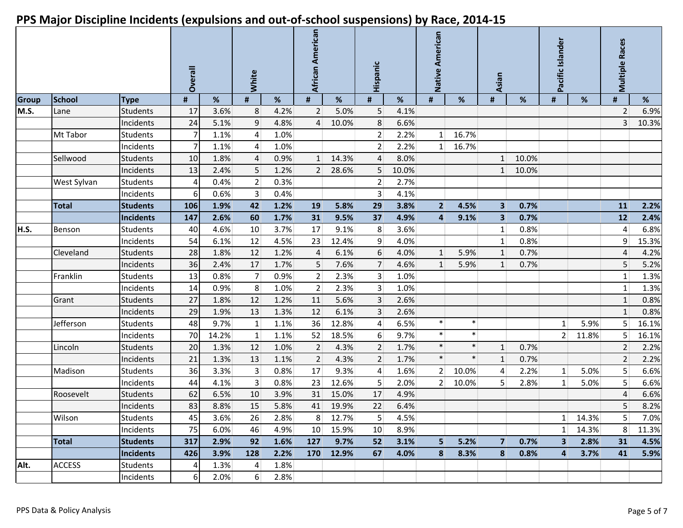|              |               |                  | Overall        |       | White           |      | African American |       | Hispanic         |       | Native American |        | Asian                   |       | Pacific Islander |         | <b>Multiple Races</b> |       |
|--------------|---------------|------------------|----------------|-------|-----------------|------|------------------|-------|------------------|-------|-----------------|--------|-------------------------|-------|------------------|---------|-----------------------|-------|
| <b>Group</b> | <b>School</b> | <b>Type</b>      | #              | %     | #               | %    | #                | %     | #                | %     | #               | $\%$   | $\pmb{\sharp}$          | %     | $\pmb{\sharp}$   | $\%$    | #                     | %     |
| M.S.         | Lane          | <b>Students</b>  | 17             | 3.6%  | 8               | 4.2% | $\overline{2}$   | 5.0%  | 5 <sup>1</sup>   | 4.1%  |                 |        |                         |       |                  |         | 2                     | 6.9%  |
|              |               | Incidents        | 24             | 5.1%  | 9               | 4.8% | $\overline{4}$   | 10.0% | 8 <sup>1</sup>   | 6.6%  |                 |        |                         |       |                  |         | $\overline{3}$        | 10.3% |
|              | Mt Tabor      | Students         | $\overline{7}$ | 1.1%  | $\vert 4 \vert$ | 1.0% |                  |       | 2                | 2.2%  | $1\vert$        | 16.7%  |                         |       |                  |         |                       |       |
|              |               | Incidents        |                | 1.1%  | $\vert 4 \vert$ | 1.0% |                  |       | 2                | 2.2%  | $\mathbf{1}$    | 16.7%  |                         |       |                  |         |                       |       |
|              | Sellwood      | Students         | 10             | 1.8%  | $\overline{4}$  | 0.9% | 1                | 14.3% | $\overline{4}$   | 8.0%  |                 |        | 1 <sup>1</sup>          | 10.0% |                  |         |                       |       |
|              |               | Incidents        | 13             | 2.4%  | 5               | 1.2% | 2 <sup>1</sup>   | 28.6% | 5 <sup>1</sup>   | 10.0% |                 |        | 1 <sup>1</sup>          | 10.0% |                  |         |                       |       |
|              | West Sylvan   | Students         | 4              | 0.4%  | 2               | 0.3% |                  |       | 2 <sup>1</sup>   | 2.7%  |                 |        |                         |       |                  |         |                       |       |
|              |               | Incidents        | 6              | 0.6%  | 3 <sup>2</sup>  | 0.4% |                  |       | 3 <sup>1</sup>   | 4.1%  |                 |        |                         |       |                  |         |                       |       |
|              | <b>Total</b>  | <b>Students</b>  | 106            | 1.9%  | 42              | 1.2% | 19               | 5.8%  | 29               | 3.8%  | 2 <sup>1</sup>  | 4.5%   | 3 <sup>1</sup>          | 0.7%  |                  |         | 11                    | 2.2%  |
|              |               | <b>Incidents</b> | 147            | 2.6%  | 60              | 1.7% | 31               | 9.5%  | 37               | 4.9%  | $\overline{4}$  | 9.1%   | $\overline{\mathbf{3}}$ | 0.7%  |                  |         | 12                    | 2.4%  |
| H.S.         | Benson        | <b>Students</b>  | 40             | 4.6%  | 10 <sup>1</sup> | 3.7% | 17               | 9.1%  | 8 <sup>°</sup>   | 3.6%  |                 |        | $1\vert$                | 0.8%  |                  |         | 4                     | 6.8%  |
|              |               | Incidents        | 54             | 6.1%  | 12              | 4.5% | 23               | 12.4% | $\overline{9}$   | 4.0%  |                 |        | $1\vert$                | 0.8%  |                  |         | 9                     | 15.3% |
|              | Cleveland     | Students         | 28             | 1.8%  | 12              | 1.2% | $\overline{4}$   | 6.1%  | $6 \overline{6}$ | 4.0%  | $\mathbf{1}$    | 5.9%   | 1                       | 0.7%  |                  |         | 4                     | 4.2%  |
|              |               | Incidents        | 36             | 2.4%  | 17              | 1.7% | 5                | 7.6%  | 7 <sup>1</sup>   | 4.6%  | $\mathbf{1}$    | 5.9%   | 1                       | 0.7%  |                  |         | 5                     | 5.2%  |
|              | Franklin      | Students         | 13             | 0.8%  | $\overline{7}$  | 0.9% | 2 <sup>1</sup>   | 2.3%  | 3 <sup>1</sup>   | 1.0%  |                 |        |                         |       |                  |         | $\mathbf{1}$          | 1.3%  |
|              |               | Incidents        | 14             | 0.9%  | 8 <sup>1</sup>  | 1.0% | $\overline{2}$   | 2.3%  | 3 <sup>1</sup>   | 1.0%  |                 |        |                         |       |                  |         | $\mathbf{1}$          | 1.3%  |
|              | Grant         | Students         | 27             | 1.8%  | 12              | 1.2% | 11               | 5.6%  | $\mathbf{3}$     | 2.6%  |                 |        |                         |       |                  |         | $\mathbf{1}$          | 0.8%  |
|              |               | Incidents        | 29             | 1.9%  | 13              | 1.3% | 12               | 6.1%  | 3 <sup>1</sup>   | 2.6%  |                 |        |                         |       |                  |         | $\mathbf{1}$          | 0.8%  |
|              | Jefferson     | <b>Students</b>  | 48             | 9.7%  | 1               | 1.1% | 36               | 12.8% | $\vert 4 \vert$  | 6.5%  | $\ast$          | $\ast$ |                         |       | $1\vert$         | 5.9%    | $5\phantom{.}$        | 16.1% |
|              |               | Incidents        | 70             | 14.2% | 1               | 1.1% | 52               | 18.5% | $6 \mid$         | 9.7%  | $\ast$          | $\ast$ |                         |       | 2                | 11.8%   | 5                     | 16.1% |
|              | Lincoln       | <b>Students</b>  | 20             | 1.3%  | 12              | 1.0% | $\overline{2}$   | 4.3%  | $\overline{2}$   | 1.7%  | $\ast$          | $\ast$ | $1\overline{ }$         | 0.7%  |                  |         | $\overline{2}$        | 2.2%  |
|              |               | Incidents        | 21             | 1.3%  | 13              | 1.1% | 2 <sup>1</sup>   | 4.3%  | 2 <sup>1</sup>   | 1.7%  | $\ast$          | $\ast$ | $\mathbf{1}$            | 0.7%  |                  |         | $\overline{2}$        | 2.2%  |
|              | Madison       | Students         | 36             | 3.3%  | 3 <sup>1</sup>  | 0.8% | 17               | 9.3%  | $\vert 4 \vert$  | 1.6%  | 2 <sup>1</sup>  | 10.0%  | 4                       | 2.2%  | $1\vert$         | 5.0%    | $5\phantom{.0}$       | 6.6%  |
|              |               | Incidents        | 44             | 4.1%  | 3 <sup>1</sup>  | 0.8% | 23               | 12.6% | 5 <sup>1</sup>   | 2.0%  | 2 <sup>1</sup>  | 10.0%  | 5 <sup>1</sup>          | 2.8%  | $\mathbf{1}$     | 5.0%    | 5                     | 6.6%  |
|              | Roosevelt     | <b>Students</b>  | 62             | 6.5%  | 10              | 3.9% | 31               | 15.0% | 17               | 4.9%  |                 |        |                         |       |                  |         | $\sqrt{4}$            | 6.6%  |
|              |               | Incidents        | 83             | 8.8%  | 15              | 5.8% | 41               | 19.9% | 22               | 6.4%  |                 |        |                         |       |                  |         | 5                     | 8.2%  |
|              | Wilson        | <b>Students</b>  | 45             | 3.6%  | 26              | 2.8% | $8 \mid$         | 12.7% | 5 <sup>1</sup>   | 4.5%  |                 |        |                         |       |                  | 1 14.3% | 5 <sup>1</sup>        | 7.0%  |
|              |               | Incidents        | 75             | 6.0%  | 46              | 4.9% | 10 <sup>1</sup>  | 15.9% | 10 <sup>°</sup>  | 8.9%  |                 |        |                         |       | 1                | 14.3%   | 8                     | 11.3% |
|              | <b>Total</b>  | <b>Students</b>  | 317            | 2.9%  | 92              | 1.6% | 127              | 9.7%  | 52               | 3.1%  | 5               | 5.2%   | $7\phantom{.}$          | 0.7%  | $\mathbf{3}$     | 2.8%    | 31                    | 4.5%  |
|              |               | Incidents        | 426            | 3.9%  | 128             | 2.2% | 170              | 12.9% | 67               | 4.0%  | 8               | 8.3%   | 8                       | 0.8%  | 4                | 3.7%    | 41                    | 5.9%  |
| Alt.         | <b>ACCESS</b> | <b>Students</b>  | $\overline{4}$ | 1.3%  | $\vert 4 \vert$ | 1.8% |                  |       |                  |       |                 |        |                         |       |                  |         |                       |       |
|              |               | Incidents        | $6 \mid$       | 2.0%  | 6 <sup>1</sup>  | 2.8% |                  |       |                  |       |                 |        |                         |       |                  |         |                       |       |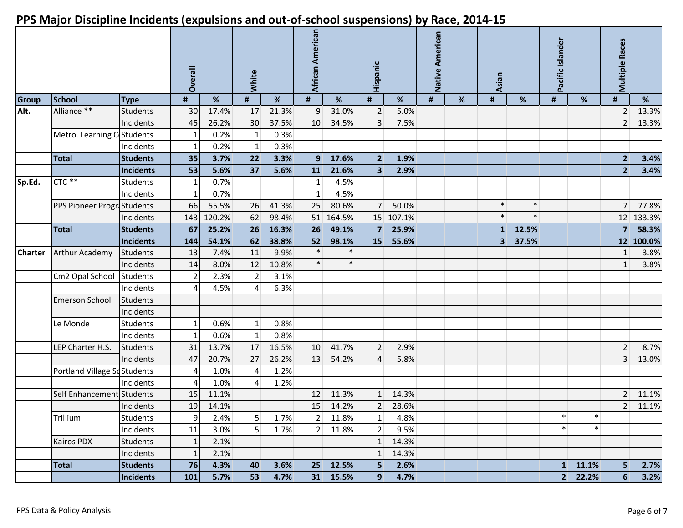|                |                             |                 | Overall        |        | White<br>$\pmb{\sharp}$<br>% |       | African American |           | Hispanic       |           | Native American |   | <b>Asian</b>   |         | Pacific Islander |                  | <b>Multiple Races</b> |           |
|----------------|-----------------------------|-----------------|----------------|--------|------------------------------|-------|------------------|-----------|----------------|-----------|-----------------|---|----------------|---------|------------------|------------------|-----------------------|-----------|
| <b>Group</b>   | School                      | <b>Type</b>     | #              | $\%$   |                              |       | #                | $\%$      | $\pmb{\sharp}$ | %         | #               | % | #              | %       | $\pmb{\sharp}$   | %                | #                     | %         |
| Alt.           | Alliance **                 | <b>Students</b> | 30             | 17.4%  | 17                           | 21.3% | $\overline{9}$   | 31.0%     | $\overline{2}$ | 5.0%      |                 |   |                |         |                  |                  | $\overline{2}$        | 13.3%     |
|                |                             | Incidents       | 45             | 26.2%  | 30                           | 37.5% | 10               | 34.5%     | $\overline{3}$ | 7.5%      |                 |   |                |         |                  |                  | $\overline{2}$        | 13.3%     |
|                | Metro. Learning C Students  |                 | 1              | 0.2%   | $1\vert$                     | 0.3%  |                  |           |                |           |                 |   |                |         |                  |                  |                       |           |
|                |                             | Incidents       | $\mathbf{1}$   | 0.2%   | 1                            | 0.3%  |                  |           |                |           |                 |   |                |         |                  |                  |                       |           |
|                | <b>Total</b>                | <b>Students</b> | 35             | 3.7%   | 22                           | 3.3%  | 9 <sup>1</sup>   | 17.6%     | 2 <sup>1</sup> | 1.9%      |                 |   |                |         |                  |                  | $\overline{2}$        | 3.4%      |
|                |                             | Incidents       | 53             | 5.6%   | 37                           | 5.6%  | 11               | 21.6%     | 3 <sup>1</sup> | 2.9%      |                 |   |                |         |                  |                  | $\overline{2}$        | 3.4%      |
| Sp.Ed.         | CTC **                      | Students        | 1              | 0.7%   |                              |       | $1\overline{ }$  | 4.5%      |                |           |                 |   |                |         |                  |                  |                       |           |
|                |                             | Incidents       | -1             | 0.7%   |                              |       | $1\vert$         | 4.5%      |                |           |                 |   |                |         |                  |                  |                       |           |
|                | PPS Pioneer ProgriStudents  |                 | 66             | 55.5%  | 26                           | 41.3% | 25               | 80.6%     | 7 <sup>1</sup> | 50.0%     |                 |   | $\ast$         | $\ast$  |                  |                  | 7 <sup>1</sup>        | 77.8%     |
|                |                             | Incidents       | 143            | 120.2% | 62                           | 98.4% |                  | 51 164.5% |                | 15 107.1% |                 |   | $\ast$         | $\ast$  |                  |                  |                       | 12 133.3% |
|                | <b>Total</b>                | <b>Students</b> | 67             | 25.2%  | 26                           | 16.3% | 26               | 49.1%     | $7^{\circ}$    | 25.9%     |                 |   | 1 <sup>1</sup> | 12.5%   |                  |                  | $\overline{7}$        | 58.3%     |
|                |                             | Incidents       | 144            | 54.1%  | 62                           | 38.8% | 52               | 98.1%     | 15             | 55.6%     |                 |   |                | 3 37.5% |                  |                  |                       | 12 100.0% |
| <b>Charter</b> | <b>Arthur Academy</b>       | <b>Students</b> | 13             | 7.4%   | 11                           | 9.9%  | $\ast$           | $\ast$    |                |           |                 |   |                |         |                  |                  | $\mathbf{1}$          | 3.8%      |
|                |                             | Incidents       | 14             | 8.0%   | 12                           | 10.8% | $\ast$           | $\ast$    |                |           |                 |   |                |         |                  |                  | $\mathbf{1}$          | 3.8%      |
|                | Cm2 Opal School             | Students        | $\overline{2}$ | 2.3%   | $\overline{2}$               | 3.1%  |                  |           |                |           |                 |   |                |         |                  |                  |                       |           |
|                |                             | Incidents       | 4              | 4.5%   | $\mathbf{4}$                 | 6.3%  |                  |           |                |           |                 |   |                |         |                  |                  |                       |           |
|                | <b>Emerson School</b>       | <b>Students</b> |                |        |                              |       |                  |           |                |           |                 |   |                |         |                  |                  |                       |           |
|                |                             | Incidents       |                |        |                              |       |                  |           |                |           |                 |   |                |         |                  |                  |                       |           |
|                | Le Monde                    | <b>Students</b> | $\mathbf{1}$   | 0.6%   | 1 <sup>1</sup>               | 0.8%  |                  |           |                |           |                 |   |                |         |                  |                  |                       |           |
|                |                             | Incidents       | $\mathbf{1}$   | 0.6%   | 1                            | 0.8%  |                  |           |                |           |                 |   |                |         |                  |                  |                       |           |
|                | LEP Charter H.S.            | <b>Students</b> | 31             | 13.7%  | 17                           | 16.5% | 10               | 41.7%     | 2 <sup>1</sup> | 2.9%      |                 |   |                |         |                  |                  | $\overline{2}$        | 8.7%      |
|                |                             | Incidents       | 47             | 20.7%  | 27                           | 26.2% | 13               | 54.2%     | $\overline{4}$ | 5.8%      |                 |   |                |         |                  |                  | $\overline{3}$        | 13.0%     |
|                | Portland Village SoStudents |                 | 4              | 1.0%   | 4                            | 1.2%  |                  |           |                |           |                 |   |                |         |                  |                  |                       |           |
|                |                             | Incidents       | 4              | 1.0%   | $\overline{4}$               | 1.2%  |                  |           |                |           |                 |   |                |         |                  |                  |                       |           |
|                | Self Enhancement Students   |                 | 15             | 11.1%  |                              |       | 12               | 11.3%     | $1 \vert$      | 14.3%     |                 |   |                |         |                  |                  | $\overline{2}$        | 11.1%     |
|                |                             | Incidents       | 19             | 14.1%  |                              |       | 15               | 14.2%     | 2              | 28.6%     |                 |   |                |         |                  |                  |                       | 2 11.1%   |
|                | Trillium                    | <b>Students</b> | 91             | 2.4%   | 5 <sup>1</sup>               | 1.7%  | 2 <sup>2</sup>   | 11.8%     | 1 <sup>1</sup> | 4.8%      |                 |   |                |         | $\ast$           | $\ast$           |                       |           |
|                |                             | Incidents       | 11             | 3.0%   | 5 <sup>1</sup>               | 1.7%  |                  | 2 11.8%   | 2 <sup>1</sup> | 9.5%      |                 |   |                |         | $\ast$           | $\ast$           |                       |           |
|                | <b>Kairos PDX</b>           | <b>Students</b> | $\mathbf{1}$   | 2.1%   |                              |       |                  |           | 1              | 14.3%     |                 |   |                |         |                  |                  |                       |           |
|                |                             | Incidents       | $\mathbf{1}$   | 2.1%   |                              |       |                  |           | 1              | 14.3%     |                 |   |                |         |                  |                  |                       |           |
|                | <b>Total</b>                | <b>Students</b> | 76             | 4.3%   | 40                           | 3.6%  |                  | 25 12.5%  | 5 <sup>1</sup> | 2.6%      |                 |   |                |         |                  | $1 \quad 11.1\%$ | 5                     | 2.7%      |
|                |                             | Incidents       | 101            | 5.7%   | 53                           | 4.7%  |                  | 31 15.5%  | 9 <sup>1</sup> | 4.7%      |                 |   |                |         |                  | 2 22.2%          | 6                     | 3.2%      |